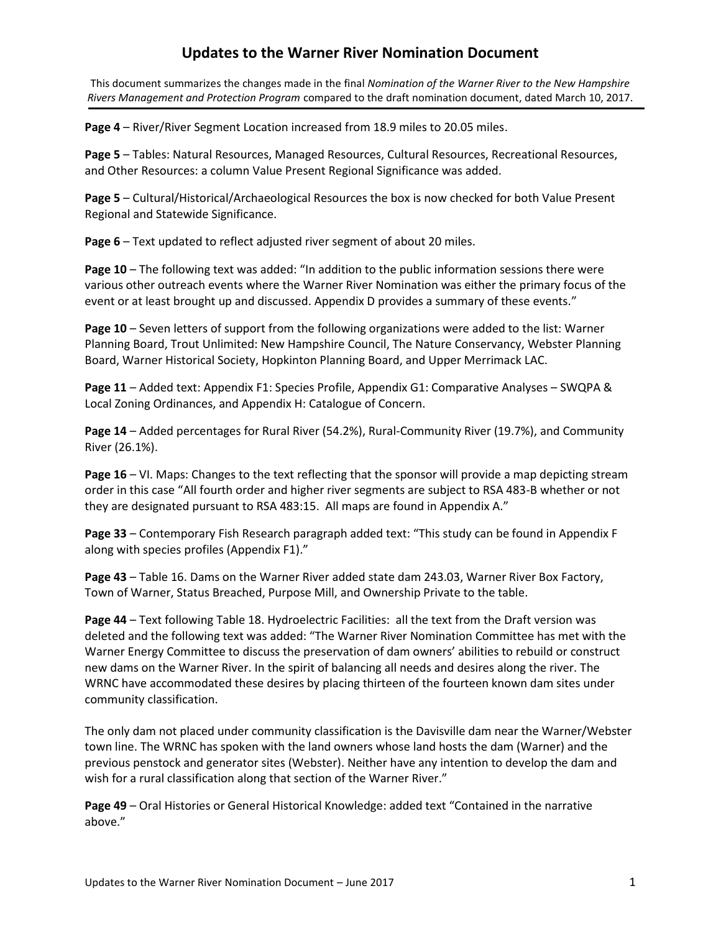This document summarizes the changes made in the final *Nomination of the Warner River to the New Hampshire Rivers Management and Protection Program* compared to the draft nomination document, dated March 10, 2017.

Page 4 – River/River Segment Location increased from 18.9 miles to 20.05 miles.

**Page 5** – Tables: Natural Resources, Managed Resources, Cultural Resources, Recreational Resources, and Other Resources: a column Value Present Regional Significance was added.

**Page 5** – Cultural/Historical/Archaeological Resources the box is now checked for both Value Present Regional and Statewide Significance.

**Page 6** – Text updated to reflect adjusted river segment of about 20 miles.

**Page 10** – The following text was added: "In addition to the public information sessions there were various other outreach events where the Warner River Nomination was either the primary focus of the event or at least brought up and discussed. Appendix D provides a summary of these events."

**Page 10** – Seven letters of support from the following organizations were added to the list: Warner Planning Board, Trout Unlimited: New Hampshire Council, The Nature Conservancy, Webster Planning Board, Warner Historical Society, Hopkinton Planning Board, and Upper Merrimack LAC.

**Page 11** – Added text: Appendix F1: Species Profile, Appendix G1: Comparative Analyses – SWQPA & Local Zoning Ordinances, and Appendix H: Catalogue of Concern.

**Page 14** – Added percentages for Rural River (54.2%), Rural-Community River (19.7%), and Community River (26.1%).

**Page 16** – VI. Maps: Changes to the text reflecting that the sponsor will provide a map depicting stream order in this case "All fourth order and higher river segments are subject to RSA 483-B whether or not they are designated pursuant to RSA 483:15. All maps are found in Appendix A."

**Page 33** – Contemporary Fish Research paragraph added text: "This study can be found in Appendix F along with species profiles (Appendix F1)."

**Page 43** – Table 16. Dams on the Warner River added state dam 243.03, Warner River Box Factory, Town of Warner, Status Breached, Purpose Mill, and Ownership Private to the table.

**Page 44** – Text following Table 18. Hydroelectric Facilities: all the text from the Draft version was deleted and the following text was added: "The Warner River Nomination Committee has met with the Warner Energy Committee to discuss the preservation of dam owners' abilities to rebuild or construct new dams on the Warner River. In the spirit of balancing all needs and desires along the river. The WRNC have accommodated these desires by placing thirteen of the fourteen known dam sites under community classification.

The only dam not placed under community classification is the Davisville dam near the Warner/Webster town line. The WRNC has spoken with the land owners whose land hosts the dam (Warner) and the previous penstock and generator sites (Webster). Neither have any intention to develop the dam and wish for a rural classification along that section of the Warner River."

**Page 49** – Oral Histories or General Historical Knowledge: added text "Contained in the narrative above."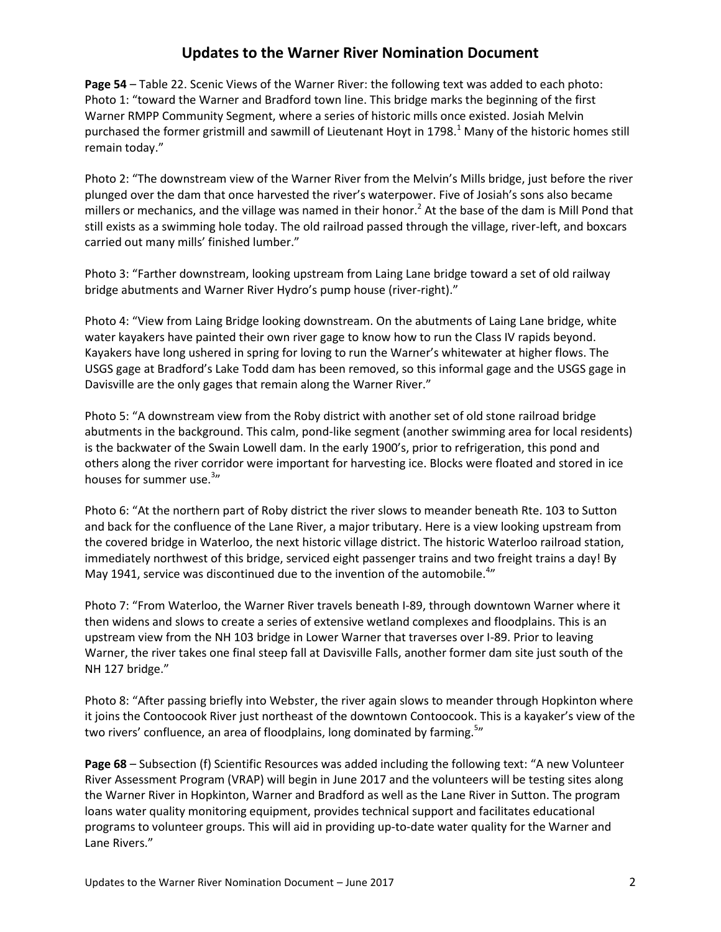**Page 54** – Table 22. Scenic Views of the Warner River: the following text was added to each photo: Photo 1: "toward the Warner and Bradford town line. This bridge marks the beginning of the first Warner RMPP Community Segment, where a series of historic mills once existed. Josiah Melvin purchased the former gristmill and sawmill of Lieutenant Hoyt in 1798. $1$  Many of the historic homes still remain today."

Photo 2: "The downstream view of the Warner River from the Melvin's Mills bridge, just before the river plunged over the dam that once harvested the river's waterpower. Five of Josiah's sons also became millers or mechanics, and the village was named in their honor.<sup>2</sup> At the base of the dam is Mill Pond that still exists as a swimming hole today. The old railroad passed through the village, river-left, and boxcars carried out many mills' finished lumber."

Photo 3: "Farther downstream, looking upstream from Laing Lane bridge toward a set of old railway bridge abutments and Warner River Hydro's pump house (river-right)."

Photo 4: "View from Laing Bridge looking downstream. On the abutments of Laing Lane bridge, white water kayakers have painted their own river gage to know how to run the Class IV rapids beyond. Kayakers have long ushered in spring for loving to run the Warner's whitewater at higher flows. The USGS gage at Bradford's Lake Todd dam has been removed, so this informal gage and the USGS gage in Davisville are the only gages that remain along the Warner River."

Photo 5: "A downstream view from the Roby district with another set of old stone railroad bridge abutments in the background. This calm, pond-like segment (another swimming area for local residents) is the backwater of the Swain Lowell dam. In the early 1900's, prior to refrigeration, this pond and others along the river corridor were important for harvesting ice. Blocks were floated and stored in ice houses for summer use.<sup>3</sup>"

Photo 6: "At the northern part of Roby district the river slows to meander beneath Rte. 103 to Sutton and back for the confluence of the Lane River, a major tributary. Here is a view looking upstream from the covered bridge in Waterloo, the next historic village district. The historic Waterloo railroad station, immediately northwest of this bridge, serviced eight passenger trains and two freight trains a day! By May 1941, service was discontinued due to the invention of the automobile.<sup>4</sup>"

Photo 7: "From Waterloo, the Warner River travels beneath I-89, through downtown Warner where it then widens and slows to create a series of extensive wetland complexes and floodplains. This is an upstream view from the NH 103 bridge in Lower Warner that traverses over I-89. Prior to leaving Warner, the river takes one final steep fall at Davisville Falls, another former dam site just south of the NH 127 bridge."

Photo 8: "After passing briefly into Webster, the river again slows to meander through Hopkinton where it joins the Contoocook River just northeast of the downtown Contoocook. This is a kayaker's view of the two rivers' confluence, an area of floodplains, long dominated by farming.<sup>5</sup>"

**Page 68** – Subsection (f) Scientific Resources was added including the following text: "A new Volunteer River Assessment Program (VRAP) will begin in June 2017 and the volunteers will be testing sites along the Warner River in Hopkinton, Warner and Bradford as well as the Lane River in Sutton. The program loans water quality monitoring equipment, provides technical support and facilitates educational programs to volunteer groups. This will aid in providing up-to-date water quality for the Warner and Lane Rivers."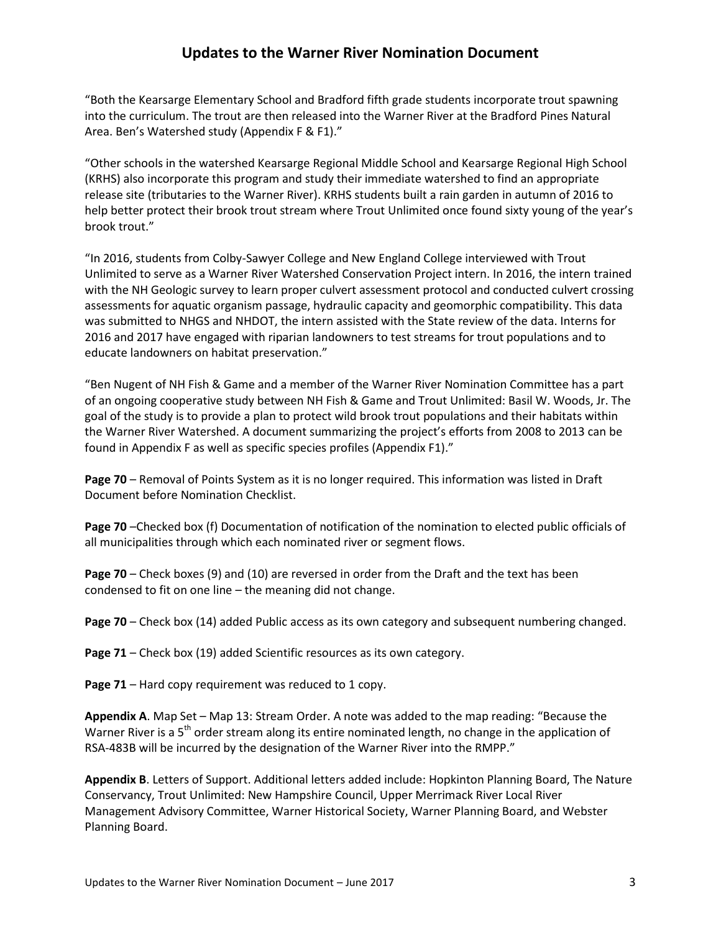"Both the Kearsarge Elementary School and Bradford fifth grade students incorporate trout spawning into the curriculum. The trout are then released into the Warner River at the Bradford Pines Natural Area. Ben's Watershed study (Appendix F & F1)."

"Other schools in the watershed Kearsarge Regional Middle School and Kearsarge Regional High School (KRHS) also incorporate this program and study their immediate watershed to find an appropriate release site (tributaries to the Warner River). KRHS students built a rain garden in autumn of 2016 to help better protect their brook trout stream where Trout Unlimited once found sixty young of the year's brook trout."

"In 2016, students from Colby-Sawyer College and New England College interviewed with Trout Unlimited to serve as a Warner River Watershed Conservation Project intern. In 2016, the intern trained with the NH Geologic survey to learn proper culvert assessment protocol and conducted culvert crossing assessments for aquatic organism passage, hydraulic capacity and geomorphic compatibility. This data was submitted to NHGS and NHDOT, the intern assisted with the State review of the data. Interns for 2016 and 2017 have engaged with riparian landowners to test streams for trout populations and to educate landowners on habitat preservation."

"Ben Nugent of NH Fish & Game and a member of the Warner River Nomination Committee has a part of an ongoing cooperative study between NH Fish & Game and Trout Unlimited: Basil W. Woods, Jr. The goal of the study is to provide a plan to protect wild brook trout populations and their habitats within the Warner River Watershed. A document summarizing the project's efforts from 2008 to 2013 can be found in Appendix F as well as specific species profiles (Appendix F1)."

**Page 70** – Removal of Points System as it is no longer required. This information was listed in Draft Document before Nomination Checklist.

**Page 70** –Checked box (f) Documentation of notification of the nomination to elected public officials of all municipalities through which each nominated river or segment flows.

**Page 70** – Check boxes (9) and (10) are reversed in order from the Draft and the text has been condensed to fit on one line – the meaning did not change.

**Page 70** – Check box (14) added Public access as its own category and subsequent numbering changed.

**Page 71** – Check box (19) added Scientific resources as its own category.

Page 71 – Hard copy requirement was reduced to 1 copy.

**Appendix A**. Map Set – Map 13: Stream Order. A note was added to the map reading: "Because the Warner River is a  $5<sup>th</sup>$  order stream along its entire nominated length, no change in the application of RSA-483B will be incurred by the designation of the Warner River into the RMPP."

**Appendix B**. Letters of Support. Additional letters added include: Hopkinton Planning Board, The Nature Conservancy, Trout Unlimited: New Hampshire Council, Upper Merrimack River Local River Management Advisory Committee, Warner Historical Society, Warner Planning Board, and Webster Planning Board.